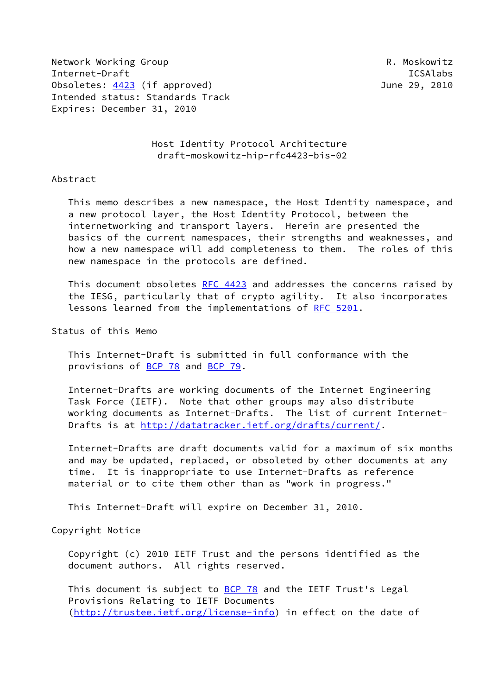Network Working Group **R. Moskowitz** Internet-Draft ICSAlabs Obsoletes: [4423](https://datatracker.ietf.org/doc/pdf/rfc4423) (if approved) June 29, 2010 Intended status: Standards Track Expires: December 31, 2010

 Host Identity Protocol Architecture draft-moskowitz-hip-rfc4423-bis-02

#### Abstract

 This memo describes a new namespace, the Host Identity namespace, and a new protocol layer, the Host Identity Protocol, between the internetworking and transport layers. Herein are presented the basics of the current namespaces, their strengths and weaknesses, and how a new namespace will add completeness to them. The roles of this new namespace in the protocols are defined.

 This document obsoletes [RFC 4423](https://datatracker.ietf.org/doc/pdf/rfc4423) and addresses the concerns raised by the IESG, particularly that of crypto agility. It also incorporates lessons learned from the implementations of [RFC 5201.](https://datatracker.ietf.org/doc/pdf/rfc5201)

Status of this Memo

 This Internet-Draft is submitted in full conformance with the provisions of [BCP 78](https://datatracker.ietf.org/doc/pdf/bcp78) and [BCP 79](https://datatracker.ietf.org/doc/pdf/bcp79).

 Internet-Drafts are working documents of the Internet Engineering Task Force (IETF). Note that other groups may also distribute working documents as Internet-Drafts. The list of current Internet- Drafts is at<http://datatracker.ietf.org/drafts/current/>.

 Internet-Drafts are draft documents valid for a maximum of six months and may be updated, replaced, or obsoleted by other documents at any time. It is inappropriate to use Internet-Drafts as reference material or to cite them other than as "work in progress."

This Internet-Draft will expire on December 31, 2010.

Copyright Notice

 Copyright (c) 2010 IETF Trust and the persons identified as the document authors. All rights reserved.

This document is subject to **[BCP 78](https://datatracker.ietf.org/doc/pdf/bcp78)** and the IETF Trust's Legal Provisions Relating to IETF Documents [\(http://trustee.ietf.org/license-info](http://trustee.ietf.org/license-info)) in effect on the date of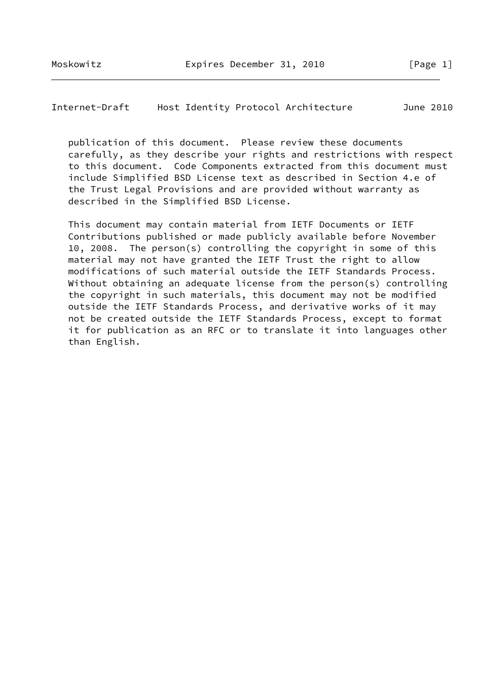Internet-Draft Host Identity Protocol Architecture June 2010

 publication of this document. Please review these documents carefully, as they describe your rights and restrictions with respect to this document. Code Components extracted from this document must include Simplified BSD License text as described in Section 4.e of the Trust Legal Provisions and are provided without warranty as described in the Simplified BSD License.

 This document may contain material from IETF Documents or IETF Contributions published or made publicly available before November 10, 2008. The person(s) controlling the copyright in some of this material may not have granted the IETF Trust the right to allow modifications of such material outside the IETF Standards Process. Without obtaining an adequate license from the person(s) controlling the copyright in such materials, this document may not be modified outside the IETF Standards Process, and derivative works of it may not be created outside the IETF Standards Process, except to format it for publication as an RFC or to translate it into languages other than English.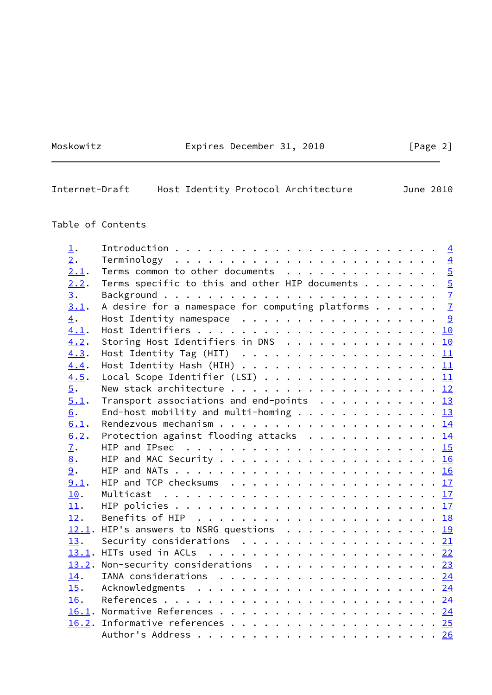Moskowitz **Expires December 31, 2010** [Page 2]

| Internet-Draft |  |  |  | Host Identity Protocol Architecture |  | June 2010 |
|----------------|--|--|--|-------------------------------------|--|-----------|
|----------------|--|--|--|-------------------------------------|--|-----------|

# Table of Contents

| $\perp$ .        |                                                                |  |
|------------------|----------------------------------------------------------------|--|
| $\overline{2}$ . |                                                                |  |
| 2.1.             | Terms common to other documents 5                              |  |
| 2.2.             | Terms specific to this and other HIP documents $5$             |  |
| 3.               |                                                                |  |
| 3.1.             | A desire for a namespace for computing platforms $\frac{7}{2}$ |  |
| $\overline{4}$ . | Host Identity namespace $\cdots$ 9                             |  |
| 4.1.             |                                                                |  |
| 4.2.             | Storing Host Identifiers in DNS 10                             |  |
| 4.3.             | Host Identity Tag (HIT) $\cdots$ 11                            |  |
| 4.4.             | Host Identity Hash (HIH) $\cdots$ 11                           |  |
| 4.5.             | Local Scope Identifier (LSI) 11                                |  |
| $\overline{5}$ . |                                                                |  |
| 5.1.             | Transport associations and end-points $\cdots$ 13              |  |
| 6.               | End-host mobility and multi-homing 13                          |  |
| 6.1.             |                                                                |  |
| 6.2.             | Protection against flooding attacks $\cdots$ 14                |  |
| $\overline{1}$ . |                                                                |  |
| 8.               |                                                                |  |
| 9.               |                                                                |  |
| 9.1.             |                                                                |  |
| 10.              |                                                                |  |
| 11.              |                                                                |  |
| 12.              |                                                                |  |
|                  | 12.1. HIP's answers to NSRG questions 19                       |  |
| 13.              | Security considerations $\cdots$ 21                            |  |
|                  |                                                                |  |
|                  | 13.2. Non-security considerations $\cdots$ 23                  |  |
| 14.              |                                                                |  |
| 15.              |                                                                |  |
| 16.              |                                                                |  |
|                  |                                                                |  |
|                  |                                                                |  |
|                  |                                                                |  |
|                  |                                                                |  |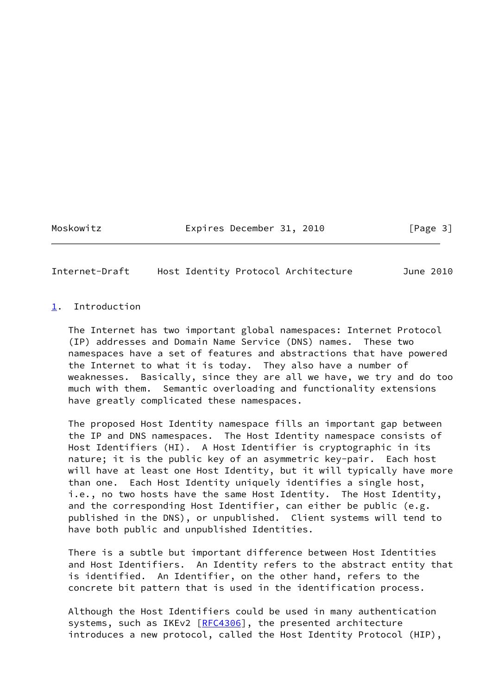Moskowitz Expires December 31, 2010 [Page 3]

<span id="page-3-1"></span>Internet-Draft Host Identity Protocol Architecture June 2010

### <span id="page-3-0"></span>[1](#page-3-0). Introduction

 The Internet has two important global namespaces: Internet Protocol (IP) addresses and Domain Name Service (DNS) names. These two namespaces have a set of features and abstractions that have powered the Internet to what it is today. They also have a number of weaknesses. Basically, since they are all we have, we try and do too much with them. Semantic overloading and functionality extensions have greatly complicated these namespaces.

 The proposed Host Identity namespace fills an important gap between the IP and DNS namespaces. The Host Identity namespace consists of Host Identifiers (HI). A Host Identifier is cryptographic in its nature; it is the public key of an asymmetric key-pair. Each host will have at least one Host Identity, but it will typically have more than one. Each Host Identity uniquely identifies a single host, i.e., no two hosts have the same Host Identity. The Host Identity, and the corresponding Host Identifier, can either be public (e.g. published in the DNS), or unpublished. Client systems will tend to have both public and unpublished Identities.

 There is a subtle but important difference between Host Identities and Host Identifiers. An Identity refers to the abstract entity that is identified. An Identifier, on the other hand, refers to the concrete bit pattern that is used in the identification process.

 Although the Host Identifiers could be used in many authentication systems, such as IKEv2  $[REC4306]$ , the presented architecture introduces a new protocol, called the Host Identity Protocol (HIP),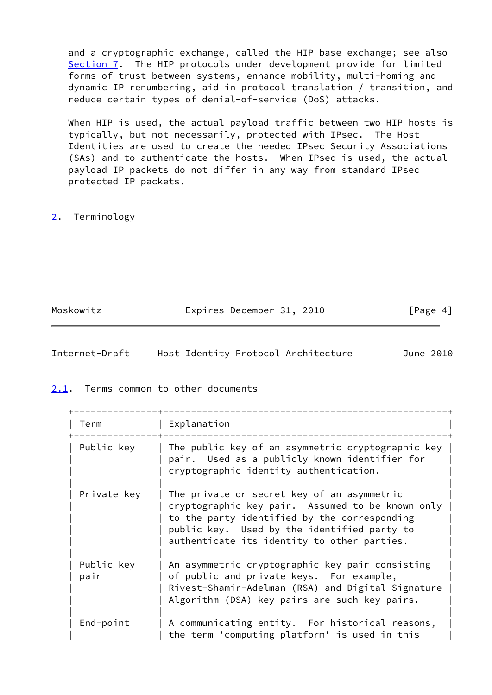and a cryptographic exchange, called the HIP base exchange; see also [Section 7](#page-16-0). The HIP protocols under development provide for limited forms of trust between systems, enhance mobility, multi-homing and dynamic IP renumbering, aid in protocol translation / transition, and reduce certain types of denial-of-service (DoS) attacks.

 When HIP is used, the actual payload traffic between two HIP hosts is typically, but not necessarily, protected with IPsec. The Host Identities are used to create the needed IPsec Security Associations (SAs) and to authenticate the hosts. When IPsec is used, the actual payload IP packets do not differ in any way from standard IPsec protected IP packets.

# <span id="page-4-0"></span>[2](#page-4-0). Terminology

Moskowitz **Expires December 31, 2010** [Page 4]

<span id="page-4-2"></span>

| Internet-Draft |  | Host Identity Protocol Architecture | June 2010 |
|----------------|--|-------------------------------------|-----------|
|                |  |                                     |           |

### <span id="page-4-1"></span>[2.1](#page-4-1). Terms common to other documents

 +---------------+---------------------------------------------------+ | Term | Explanation |

| .                  |                                                                                                                                                                                                                                              |
|--------------------|----------------------------------------------------------------------------------------------------------------------------------------------------------------------------------------------------------------------------------------------|
| Public key         | The public key of an asymmetric cryptographic key  <br>pair. Used as a publicly known identifier for<br>cryptographic identity authentication.                                                                                               |
| Private key        | The private or secret key of an asymmetric<br>cryptographic key pair. Assumed to be known only<br>to the party identified by the corresponding<br>public key. Used by the identified party to<br>authenticate its identity to other parties. |
| Public key<br>pair | An asymmetric cryptographic key pair consisting<br>of public and private keys. For example,<br>Rivest-Shamir-Adelman (RSA) and Digital Signature<br>Algorithm (DSA) key pairs are such key pairs.                                            |
| End-point          | A communicating entity. For historical reasons,<br>the term 'computing platform' is used in this                                                                                                                                             |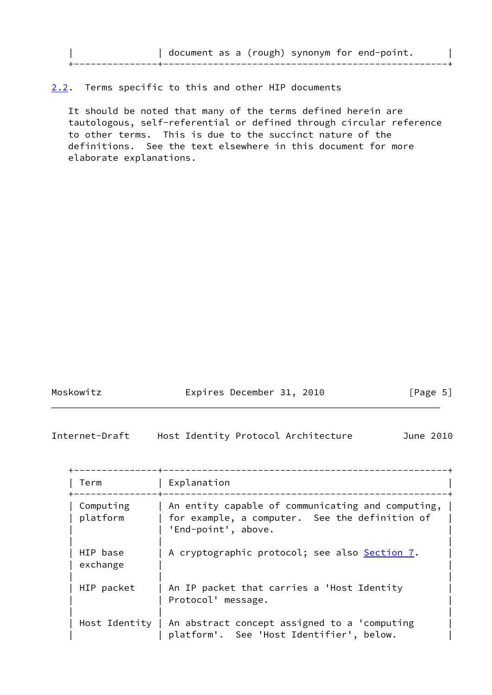|  |  |  | document as a (rough) synonym for end-point. |  |
|--|--|--|----------------------------------------------|--|
|  |  |  |                                              |  |
|  |  |  |                                              |  |

<span id="page-5-0"></span>[2.2](#page-5-0). Terms specific to this and other HIP documents

 It should be noted that many of the terms defined herein are tautologous, self-referential or defined through circular reference to other terms. This is due to the succinct nature of the definitions. See the text elsewhere in this document for more elaborate explanations.

Moskowitz **Expires December 31, 2010** [Page 5]

Internet-Draft Host Identity Protocol Architecture June 2010

| Term                  | Explanation                                                                                                                |
|-----------------------|----------------------------------------------------------------------------------------------------------------------------|
| Computing<br>platform | An entity capable of communicating and computing,<br>for example, a computer. See the definition of<br>'End-point', above. |
| HIP base<br>exchange  | A cryptographic protocol; see also Section 7.                                                                              |
| HIP packet            | An IP packet that carries a 'Host Identity<br>Protocol' message.                                                           |
|                       | Host Identity $\vert$ An abstract concept assigned to a 'computing<br>platform'. See 'Host Identifier', below.             |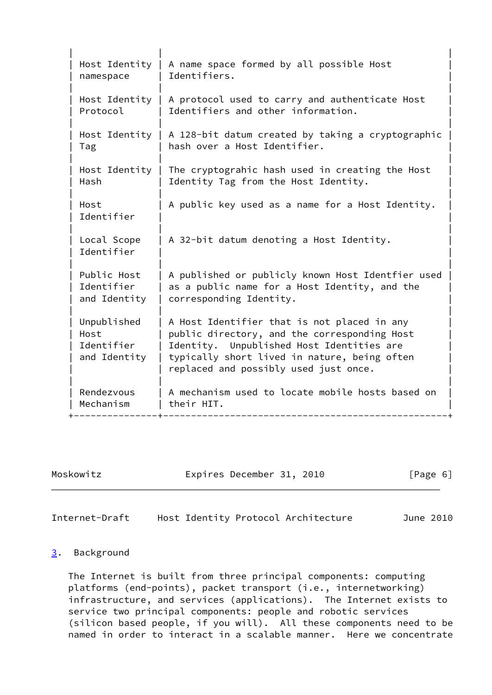| Host Identity<br>namespace                        | A name space formed by all possible Host<br>Identifiers.                                                                                                                                                                          |
|---------------------------------------------------|-----------------------------------------------------------------------------------------------------------------------------------------------------------------------------------------------------------------------------------|
| Host Identity<br>Protocol                         | A protocol used to carry and authenticate Host<br>Identifiers and other information.                                                                                                                                              |
| Host Identity  <br>Tag                            | A 128-bit datum created by taking a cryptographic<br>hash over a Host Identifier.                                                                                                                                                 |
| Host Identity<br>Hash                             | The cryptograhic hash used in creating the Host<br>Identity Tag from the Host Identity.                                                                                                                                           |
| Host<br>Identifier                                | A public key used as a name for a Host Identity.                                                                                                                                                                                  |
| Local Scope<br>Identifier                         | A 32-bit datum denoting a Host Identity.                                                                                                                                                                                          |
| Public Host<br>Identifier<br>and Identity         | A published or publicly known Host Identfier used<br>as a public name for a Host Identity, and the<br>corresponding Identity.                                                                                                     |
| Unpublished<br>Host<br>Identifier<br>and Identity | A Host Identifier that is not placed in any<br>public directory, and the corresponding Host<br>Identity. Unpublished Host Identities are<br>typically short lived in nature, being often<br>replaced and possibly used just once. |
| Rendezvous<br>Mechanism                           | A mechanism used to locate mobile hosts based on<br>their HIT.                                                                                                                                                                    |

Moskowitz **Expires December 31, 2010** [Page 6]

<span id="page-6-1"></span>Internet-Draft Host Identity Protocol Architecture June 2010

# <span id="page-6-0"></span>[3](#page-6-0). Background

 The Internet is built from three principal components: computing platforms (end-points), packet transport (i.e., internetworking) infrastructure, and services (applications). The Internet exists to service two principal components: people and robotic services (silicon based people, if you will). All these components need to be named in order to interact in a scalable manner. Here we concentrate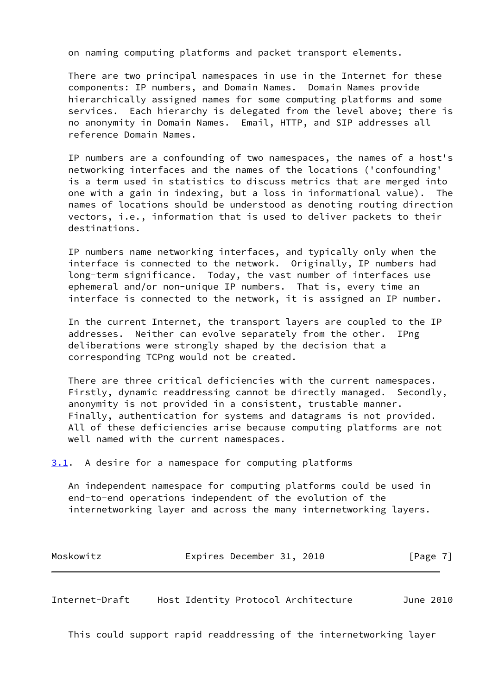on naming computing platforms and packet transport elements.

 There are two principal namespaces in use in the Internet for these components: IP numbers, and Domain Names. Domain Names provide hierarchically assigned names for some computing platforms and some services. Each hierarchy is delegated from the level above; there is no anonymity in Domain Names. Email, HTTP, and SIP addresses all reference Domain Names.

 IP numbers are a confounding of two namespaces, the names of a host's networking interfaces and the names of the locations ('confounding' is a term used in statistics to discuss metrics that are merged into one with a gain in indexing, but a loss in informational value). The names of locations should be understood as denoting routing direction vectors, i.e., information that is used to deliver packets to their destinations.

 IP numbers name networking interfaces, and typically only when the interface is connected to the network. Originally, IP numbers had long-term significance. Today, the vast number of interfaces use ephemeral and/or non-unique IP numbers. That is, every time an interface is connected to the network, it is assigned an IP number.

 In the current Internet, the transport layers are coupled to the IP addresses. Neither can evolve separately from the other. IPng deliberations were strongly shaped by the decision that a corresponding TCPng would not be created.

 There are three critical deficiencies with the current namespaces. Firstly, dynamic readdressing cannot be directly managed. Secondly, anonymity is not provided in a consistent, trustable manner. Finally, authentication for systems and datagrams is not provided. All of these deficiencies arise because computing platforms are not well named with the current namespaces.

<span id="page-7-0"></span>[3.1](#page-7-0). A desire for a namespace for computing platforms

 An independent namespace for computing platforms could be used in end-to-end operations independent of the evolution of the internetworking layer and across the many internetworking layers.

| Moskowitz | Expires December 31, 2010 |  | [Page 7] |  |
|-----------|---------------------------|--|----------|--|
|           |                           |  |          |  |

Internet-Draft Host Identity Protocol Architecture June 2010

This could support rapid readdressing of the internetworking layer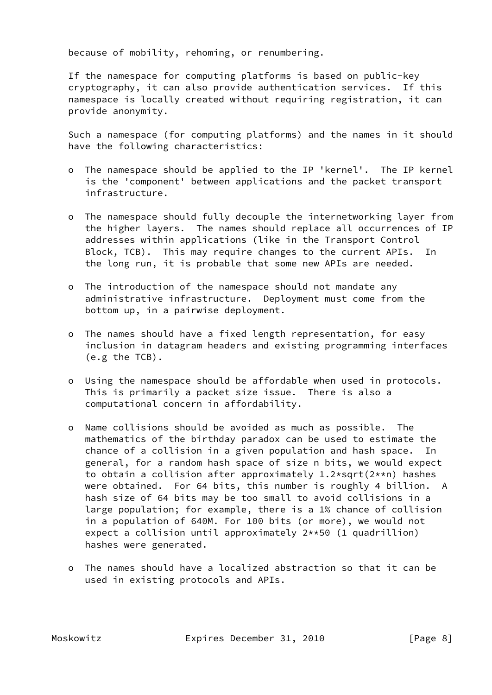because of mobility, rehoming, or renumbering.

 If the namespace for computing platforms is based on public-key cryptography, it can also provide authentication services. If this namespace is locally created without requiring registration, it can provide anonymity.

 Such a namespace (for computing platforms) and the names in it should have the following characteristics:

- o The namespace should be applied to the IP 'kernel'. The IP kernel is the 'component' between applications and the packet transport infrastructure.
- o The namespace should fully decouple the internetworking layer from the higher layers. The names should replace all occurrences of IP addresses within applications (like in the Transport Control Block, TCB). This may require changes to the current APIs. In the long run, it is probable that some new APIs are needed.
- o The introduction of the namespace should not mandate any administrative infrastructure. Deployment must come from the bottom up, in a pairwise deployment.
- o The names should have a fixed length representation, for easy inclusion in datagram headers and existing programming interfaces (e.g the TCB).
- o Using the namespace should be affordable when used in protocols. This is primarily a packet size issue. There is also a computational concern in affordability.
- o Name collisions should be avoided as much as possible. The mathematics of the birthday paradox can be used to estimate the chance of a collision in a given population and hash space. In general, for a random hash space of size n bits, we would expect to obtain a collision after approximately 1.2\*sqrt(2\*\*n) hashes were obtained. For 64 bits, this number is roughly 4 billion. A hash size of 64 bits may be too small to avoid collisions in a large population; for example, there is a 1% chance of collision in a population of 640M. For 100 bits (or more), we would not expect a collision until approximately 2\*\*50 (1 quadrillion) hashes were generated.
- o The names should have a localized abstraction so that it can be used in existing protocols and APIs.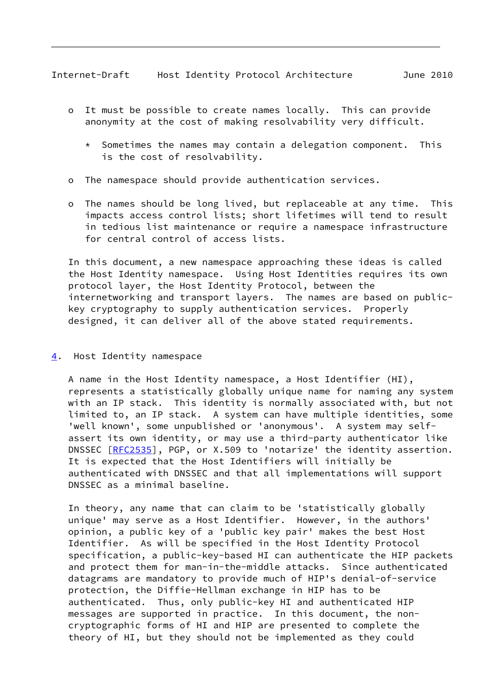- <span id="page-9-1"></span> o It must be possible to create names locally. This can provide anonymity at the cost of making resolvability very difficult.
	- $*$  Sometimes the names may contain a delegation component. This is the cost of resolvability.
- o The namespace should provide authentication services.
- o The names should be long lived, but replaceable at any time. This impacts access control lists; short lifetimes will tend to result in tedious list maintenance or require a namespace infrastructure for central control of access lists.

 In this document, a new namespace approaching these ideas is called the Host Identity namespace. Using Host Identities requires its own protocol layer, the Host Identity Protocol, between the internetworking and transport layers. The names are based on public key cryptography to supply authentication services. Properly designed, it can deliver all of the above stated requirements.

<span id="page-9-0"></span>[4](#page-9-0). Host Identity namespace

 A name in the Host Identity namespace, a Host Identifier (HI), represents a statistically globally unique name for naming any system with an IP stack. This identity is normally associated with, but not limited to, an IP stack. A system can have multiple identities, some 'well known', some unpublished or 'anonymous'. A system may self assert its own identity, or may use a third-party authenticator like DNSSEC [\[RFC2535](https://datatracker.ietf.org/doc/pdf/rfc2535)], PGP, or X.509 to 'notarize' the identity assertion. It is expected that the Host Identifiers will initially be authenticated with DNSSEC and that all implementations will support DNSSEC as a minimal baseline.

 In theory, any name that can claim to be 'statistically globally unique' may serve as a Host Identifier. However, in the authors' opinion, a public key of a 'public key pair' makes the best Host Identifier. As will be specified in the Host Identity Protocol specification, a public-key-based HI can authenticate the HIP packets and protect them for man-in-the-middle attacks. Since authenticated datagrams are mandatory to provide much of HIP's denial-of-service protection, the Diffie-Hellman exchange in HIP has to be authenticated. Thus, only public-key HI and authenticated HIP messages are supported in practice. In this document, the non cryptographic forms of HI and HIP are presented to complete the theory of HI, but they should not be implemented as they could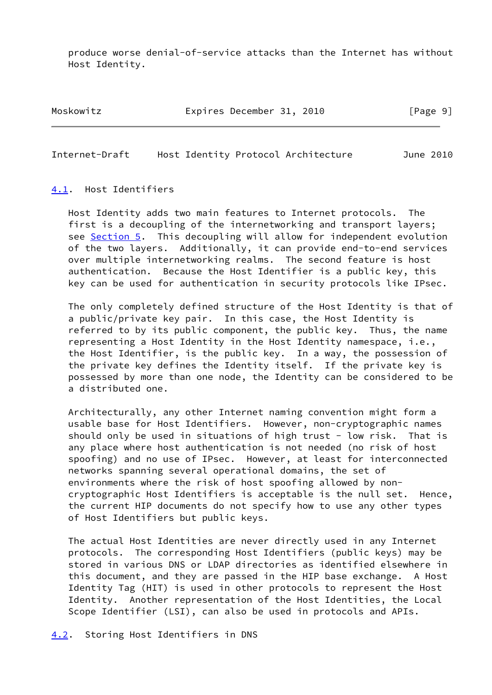produce worse denial-of-service attacks than the Internet has without Host Identity.

Moskowitz **Expires December 31, 2010** [Page 9]

<span id="page-10-1"></span>Internet-Draft Host Identity Protocol Architecture June 2010

#### <span id="page-10-0"></span>[4.1](#page-10-0). Host Identifiers

 Host Identity adds two main features to Internet protocols. The first is a decoupling of the internetworking and transport layers; see [Section 5.](#page-12-1) This decoupling will allow for independent evolution of the two layers. Additionally, it can provide end-to-end services over multiple internetworking realms. The second feature is host authentication. Because the Host Identifier is a public key, this key can be used for authentication in security protocols like IPsec.

 The only completely defined structure of the Host Identity is that of a public/private key pair. In this case, the Host Identity is referred to by its public component, the public key. Thus, the name representing a Host Identity in the Host Identity namespace, i.e., the Host Identifier, is the public key. In a way, the possession of the private key defines the Identity itself. If the private key is possessed by more than one node, the Identity can be considered to be a distributed one.

 Architecturally, any other Internet naming convention might form a usable base for Host Identifiers. However, non-cryptographic names should only be used in situations of high trust - low risk. That is any place where host authentication is not needed (no risk of host spoofing) and no use of IPsec. However, at least for interconnected networks spanning several operational domains, the set of environments where the risk of host spoofing allowed by non cryptographic Host Identifiers is acceptable is the null set. Hence, the current HIP documents do not specify how to use any other types of Host Identifiers but public keys.

 The actual Host Identities are never directly used in any Internet protocols. The corresponding Host Identifiers (public keys) may be stored in various DNS or LDAP directories as identified elsewhere in this document, and they are passed in the HIP base exchange. A Host Identity Tag (HIT) is used in other protocols to represent the Host Identity. Another representation of the Host Identities, the Local Scope Identifier (LSI), can also be used in protocols and APIs.

#### <span id="page-10-2"></span>[4.2](#page-10-2). Storing Host Identifiers in DNS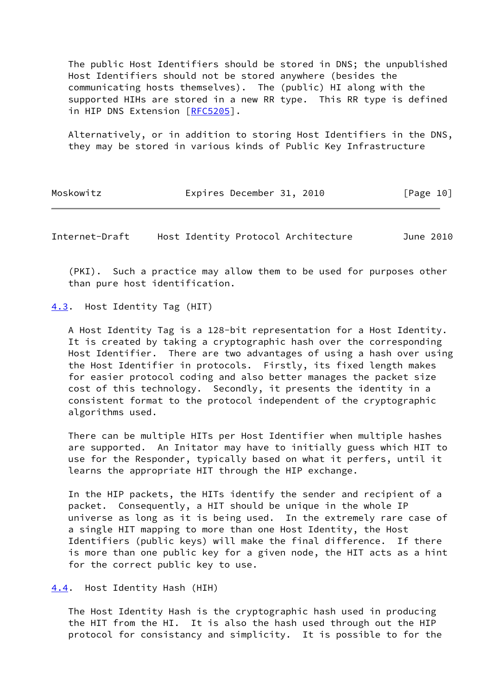The public Host Identifiers should be stored in DNS; the unpublished Host Identifiers should not be stored anywhere (besides the communicating hosts themselves). The (public) HI along with the supported HIHs are stored in a new RR type. This RR type is defined in HIP DNS Extension [\[RFC5205](https://datatracker.ietf.org/doc/pdf/rfc5205)].

 Alternatively, or in addition to storing Host Identifiers in the DNS, they may be stored in various kinds of Public Key Infrastructure

| Moskowitz |  | Expires December 31, 2010 |  |  | [Page 10] |  |
|-----------|--|---------------------------|--|--|-----------|--|
|-----------|--|---------------------------|--|--|-----------|--|

<span id="page-11-1"></span>Internet-Draft Host Identity Protocol Architecture June 2010

 (PKI). Such a practice may allow them to be used for purposes other than pure host identification.

<span id="page-11-0"></span>[4.3](#page-11-0). Host Identity Tag (HIT)

 A Host Identity Tag is a 128-bit representation for a Host Identity. It is created by taking a cryptographic hash over the corresponding Host Identifier. There are two advantages of using a hash over using the Host Identifier in protocols. Firstly, its fixed length makes for easier protocol coding and also better manages the packet size cost of this technology. Secondly, it presents the identity in a consistent format to the protocol independent of the cryptographic algorithms used.

 There can be multiple HITs per Host Identifier when multiple hashes are supported. An Initator may have to initially guess which HIT to use for the Responder, typically based on what it perfers, until it learns the appropriate HIT through the HIP exchange.

 In the HIP packets, the HITs identify the sender and recipient of a packet. Consequently, a HIT should be unique in the whole IP universe as long as it is being used. In the extremely rare case of a single HIT mapping to more than one Host Identity, the Host Identifiers (public keys) will make the final difference. If there is more than one public key for a given node, the HIT acts as a hint for the correct public key to use.

<span id="page-11-2"></span>[4.4](#page-11-2). Host Identity Hash (HIH)

 The Host Identity Hash is the cryptographic hash used in producing the HIT from the HI. It is also the hash used through out the HIP protocol for consistancy and simplicity. It is possible to for the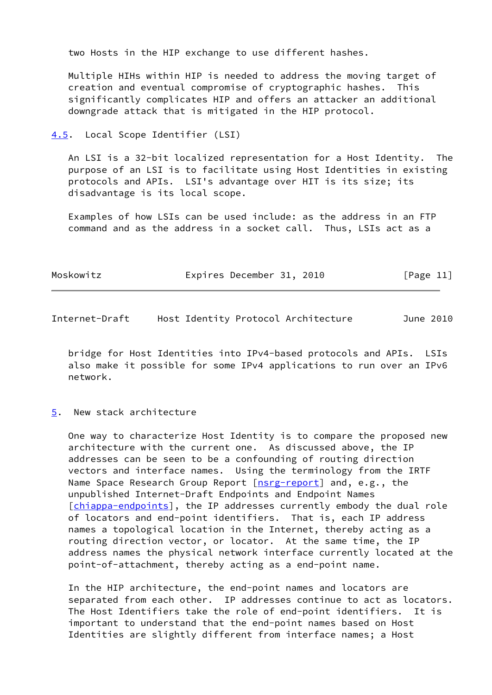two Hosts in the HIP exchange to use different hashes.

 Multiple HIHs within HIP is needed to address the moving target of creation and eventual compromise of cryptographic hashes. This significantly complicates HIP and offers an attacker an additional downgrade attack that is mitigated in the HIP protocol.

<span id="page-12-0"></span>[4.5](#page-12-0). Local Scope Identifier (LSI)

 An LSI is a 32-bit localized representation for a Host Identity. The purpose of an LSI is to facilitate using Host Identities in existing protocols and APIs. LSI's advantage over HIT is its size; its disadvantage is its local scope.

 Examples of how LSIs can be used include: as the address in an FTP command and as the address in a socket call. Thus, LSIs act as a

| Moskowitz | Expires December 31, 2010 |  | [Page 11] |
|-----------|---------------------------|--|-----------|
|-----------|---------------------------|--|-----------|

<span id="page-12-2"></span>Internet-Draft Host Identity Protocol Architecture June 2010

 bridge for Host Identities into IPv4-based protocols and APIs. LSIs also make it possible for some IPv4 applications to run over an IPv6 network.

#### <span id="page-12-1"></span>[5](#page-12-1). New stack architecture

 One way to characterize Host Identity is to compare the proposed new architecture with the current one. As discussed above, the IP addresses can be seen to be a confounding of routing direction vectors and interface names. Using the terminology from the IRTF Name Space Research Group Report [\[nsrg-report](#page-28-1)] and, e.g., the unpublished Internet-Draft Endpoints and Endpoint Names [\[chiappa-endpoints](#page-28-2)], the IP addresses currently embody the dual role of locators and end-point identifiers. That is, each IP address names a topological location in the Internet, thereby acting as a routing direction vector, or locator. At the same time, the IP address names the physical network interface currently located at the point-of-attachment, thereby acting as a end-point name.

 In the HIP architecture, the end-point names and locators are separated from each other. IP addresses continue to act as locators. The Host Identifiers take the role of end-point identifiers. It is important to understand that the end-point names based on Host Identities are slightly different from interface names; a Host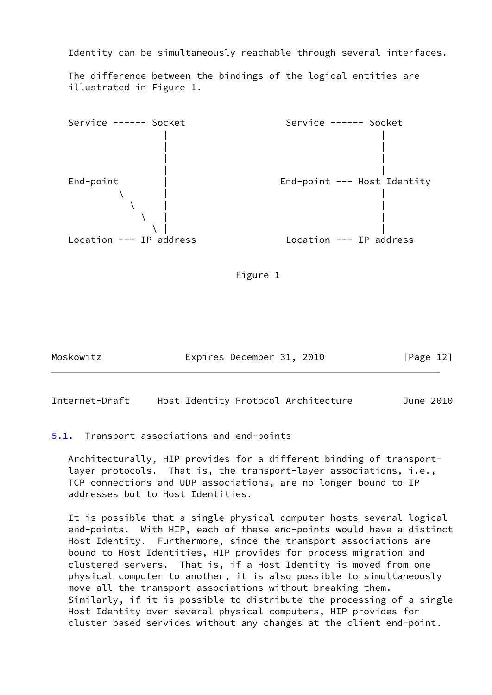Identity can be simultaneously reachable through several interfaces.

 The difference between the bindings of the logical entities are illustrated in Figure 1.





Moskowitz **Expires December 31, 2010** [Page 12]

<span id="page-13-1"></span>Internet-Draft Host Identity Protocol Architecture June 2010

<span id="page-13-0"></span>[5.1](#page-13-0). Transport associations and end-points

 Architecturally, HIP provides for a different binding of transport layer protocols. That is, the transport-layer associations, i.e., TCP connections and UDP associations, are no longer bound to IP addresses but to Host Identities.

 It is possible that a single physical computer hosts several logical end-points. With HIP, each of these end-points would have a distinct Host Identity. Furthermore, since the transport associations are bound to Host Identities, HIP provides for process migration and clustered servers. That is, if a Host Identity is moved from one physical computer to another, it is also possible to simultaneously move all the transport associations without breaking them. Similarly, if it is possible to distribute the processing of a single Host Identity over several physical computers, HIP provides for cluster based services without any changes at the client end-point.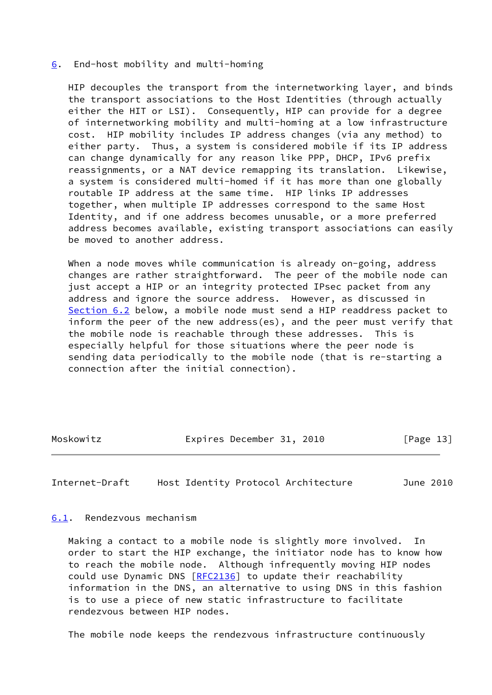#### <span id="page-14-0"></span>[6](#page-14-0). End-host mobility and multi-homing

 HIP decouples the transport from the internetworking layer, and binds the transport associations to the Host Identities (through actually either the HIT or LSI). Consequently, HIP can provide for a degree of internetworking mobility and multi-homing at a low infrastructure cost. HIP mobility includes IP address changes (via any method) to either party. Thus, a system is considered mobile if its IP address can change dynamically for any reason like PPP, DHCP, IPv6 prefix reassignments, or a NAT device remapping its translation. Likewise, a system is considered multi-homed if it has more than one globally routable IP address at the same time. HIP links IP addresses together, when multiple IP addresses correspond to the same Host Identity, and if one address becomes unusable, or a more preferred address becomes available, existing transport associations can easily be moved to another address.

When a node moves while communication is already on-going, address changes are rather straightforward. The peer of the mobile node can just accept a HIP or an integrity protected IPsec packet from any address and ignore the source address. However, as discussed in [Section 6.2](#page-15-0) below, a mobile node must send a HIP readdress packet to inform the peer of the new address(es), and the peer must verify that the mobile node is reachable through these addresses. This is especially helpful for those situations where the peer node is sending data periodically to the mobile node (that is re-starting a connection after the initial connection).

Moskowitz **Expires December 31, 2010** [Page 13]

<span id="page-14-2"></span>Internet-Draft Host Identity Protocol Architecture June 2010

<span id="page-14-1"></span>[6.1](#page-14-1). Rendezvous mechanism

 Making a contact to a mobile node is slightly more involved. In order to start the HIP exchange, the initiator node has to know how to reach the mobile node. Although infrequently moving HIP nodes could use Dynamic DNS [[RFC2136](https://datatracker.ietf.org/doc/pdf/rfc2136)] to update their reachability information in the DNS, an alternative to using DNS in this fashion is to use a piece of new static infrastructure to facilitate rendezvous between HIP nodes.

The mobile node keeps the rendezvous infrastructure continuously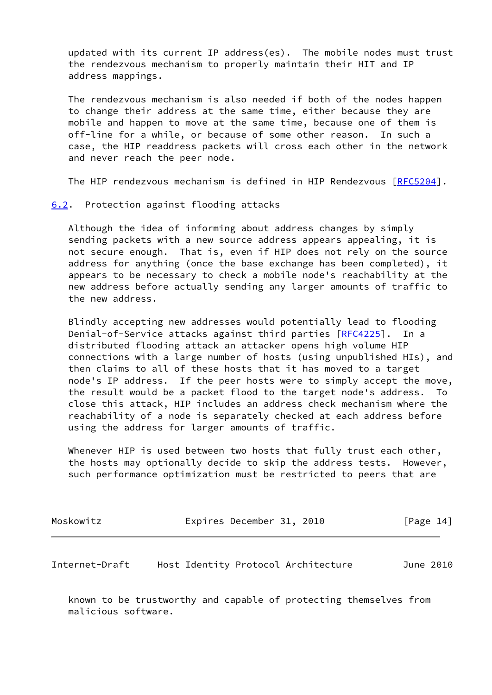updated with its current IP address(es). The mobile nodes must trust the rendezvous mechanism to properly maintain their HIT and IP address mappings.

 The rendezvous mechanism is also needed if both of the nodes happen to change their address at the same time, either because they are mobile and happen to move at the same time, because one of them is off-line for a while, or because of some other reason. In such a case, the HIP readdress packets will cross each other in the network and never reach the peer node.

The HIP rendezvous mechanism is defined in HIP Rendezvous [[RFC5204](https://datatracker.ietf.org/doc/pdf/rfc5204)].

<span id="page-15-0"></span>[6.2](#page-15-0). Protection against flooding attacks

 Although the idea of informing about address changes by simply sending packets with a new source address appears appealing, it is not secure enough. That is, even if HIP does not rely on the source address for anything (once the base exchange has been completed), it appears to be necessary to check a mobile node's reachability at the new address before actually sending any larger amounts of traffic to the new address.

 Blindly accepting new addresses would potentially lead to flooding Denial-of-Service attacks against third parties [\[RFC4225](https://datatracker.ietf.org/doc/pdf/rfc4225)]. In a distributed flooding attack an attacker opens high volume HIP connections with a large number of hosts (using unpublished HIs), and then claims to all of these hosts that it has moved to a target node's IP address. If the peer hosts were to simply accept the move, the result would be a packet flood to the target node's address. To close this attack, HIP includes an address check mechanism where the reachability of a node is separately checked at each address before using the address for larger amounts of traffic.

Whenever HIP is used between two hosts that fully trust each other, the hosts may optionally decide to skip the address tests. However, such performance optimization must be restricted to peers that are

| Moskowitz | Expires December 31, 2010 |  | [Page 14] |  |
|-----------|---------------------------|--|-----------|--|
|           |                           |  |           |  |

<span id="page-15-1"></span>Internet-Draft Host Identity Protocol Architecture June 2010

 known to be trustworthy and capable of protecting themselves from malicious software.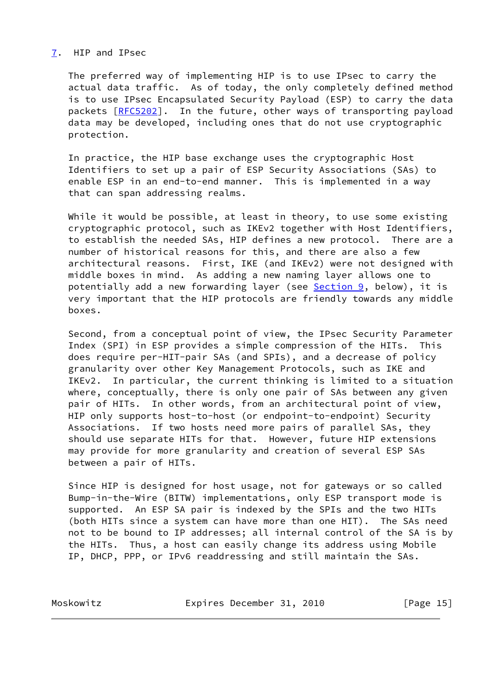#### <span id="page-16-0"></span>[7](#page-16-0). HIP and IPsec

 The preferred way of implementing HIP is to use IPsec to carry the actual data traffic. As of today, the only completely defined method is to use IPsec Encapsulated Security Payload (ESP) to carry the data packets [\[RFC5202](https://datatracker.ietf.org/doc/pdf/rfc5202)]. In the future, other ways of transporting payload data may be developed, including ones that do not use cryptographic protection.

 In practice, the HIP base exchange uses the cryptographic Host Identifiers to set up a pair of ESP Security Associations (SAs) to enable ESP in an end-to-end manner. This is implemented in a way that can span addressing realms.

While it would be possible, at least in theory, to use some existing cryptographic protocol, such as IKEv2 together with Host Identifiers, to establish the needed SAs, HIP defines a new protocol. There are a number of historical reasons for this, and there are also a few architectural reasons. First, IKE (and IKEv2) were not designed with middle boxes in mind. As adding a new naming layer allows one to potentially add a new forwarding layer (see [Section 9,](#page-17-2) below), it is very important that the HIP protocols are friendly towards any middle boxes.

 Second, from a conceptual point of view, the IPsec Security Parameter Index (SPI) in ESP provides a simple compression of the HITs. This does require per-HIT-pair SAs (and SPIs), and a decrease of policy granularity over other Key Management Protocols, such as IKE and IKEv2. In particular, the current thinking is limited to a situation where, conceptually, there is only one pair of SAs between any given pair of HITs. In other words, from an architectural point of view, HIP only supports host-to-host (or endpoint-to-endpoint) Security Associations. If two hosts need more pairs of parallel SAs, they should use separate HITs for that. However, future HIP extensions may provide for more granularity and creation of several ESP SAs between a pair of HITs.

 Since HIP is designed for host usage, not for gateways or so called Bump-in-the-Wire (BITW) implementations, only ESP transport mode is supported. An ESP SA pair is indexed by the SPIs and the two HITs (both HITs since a system can have more than one HIT). The SAs need not to be bound to IP addresses; all internal control of the SA is by the HITs. Thus, a host can easily change its address using Mobile IP, DHCP, PPP, or IPv6 readdressing and still maintain the SAs.

Moskowitz **Expires December 31, 2010** [Page 15]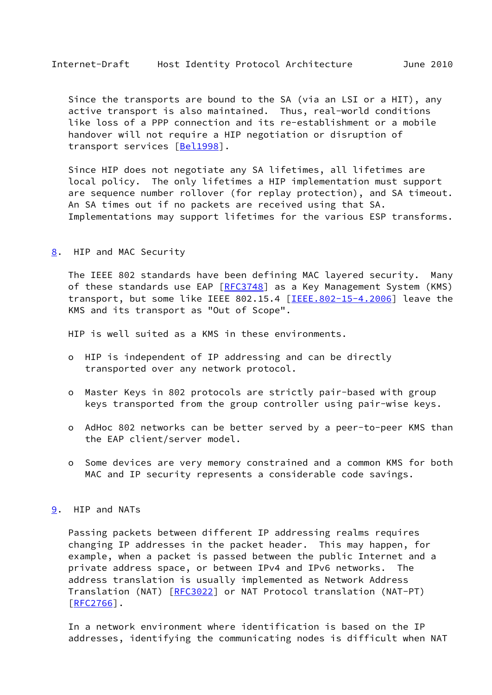<span id="page-17-1"></span> Since the transports are bound to the SA (via an LSI or a HIT), any active transport is also maintained. Thus, real-world conditions like loss of a PPP connection and its re-establishment or a mobile handover will not require a HIP negotiation or disruption of transport services [[Bel1998\]](#page-28-3).

 Since HIP does not negotiate any SA lifetimes, all lifetimes are local policy. The only lifetimes a HIP implementation must support are sequence number rollover (for replay protection), and SA timeout. An SA times out if no packets are received using that SA. Implementations may support lifetimes for the various ESP transforms.

<span id="page-17-0"></span>[8](#page-17-0). HIP and MAC Security

 The IEEE 802 standards have been defining MAC layered security. Many of these standards use EAP  $[REC3748]$  as a Key Management System (KMS) transport, but some like IEEE 802.15.4 [\[IEEE.802-15-4.2006](#page-28-4)] leave the KMS and its transport as "Out of Scope".

HIP is well suited as a KMS in these environments.

- o HIP is independent of IP addressing and can be directly transported over any network protocol.
- o Master Keys in 802 protocols are strictly pair-based with group keys transported from the group controller using pair-wise keys.
- o AdHoc 802 networks can be better served by a peer-to-peer KMS than the EAP client/server model.
- o Some devices are very memory constrained and a common KMS for both MAC and IP security represents a considerable code savings.

#### <span id="page-17-2"></span>[9](#page-17-2). HIP and NATs

 Passing packets between different IP addressing realms requires changing IP addresses in the packet header. This may happen, for example, when a packet is passed between the public Internet and a private address space, or between IPv4 and IPv6 networks. The address translation is usually implemented as Network Address Translation (NAT) [[RFC3022](https://datatracker.ietf.org/doc/pdf/rfc3022)] or NAT Protocol translation (NAT-PT)  $[REC2766]$ .

 In a network environment where identification is based on the IP addresses, identifying the communicating nodes is difficult when NAT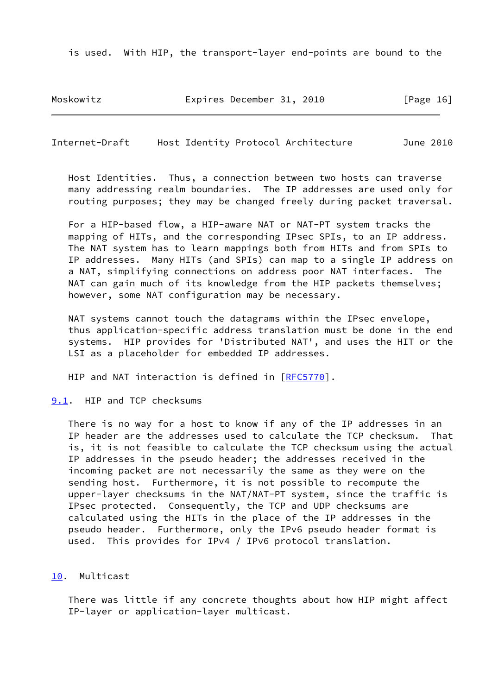is used. With HIP, the transport-layer end-points are bound to the

Moskowitz **Expires December 31, 2010** [Page 16]

<span id="page-18-1"></span>Internet-Draft Host Identity Protocol Architecture June 2010

 Host Identities. Thus, a connection between two hosts can traverse many addressing realm boundaries. The IP addresses are used only for routing purposes; they may be changed freely during packet traversal.

 For a HIP-based flow, a HIP-aware NAT or NAT-PT system tracks the mapping of HITs, and the corresponding IPsec SPIs, to an IP address. The NAT system has to learn mappings both from HITs and from SPIs to IP addresses. Many HITs (and SPIs) can map to a single IP address on a NAT, simplifying connections on address poor NAT interfaces. The NAT can gain much of its knowledge from the HIP packets themselves; however, some NAT configuration may be necessary.

 NAT systems cannot touch the datagrams within the IPsec envelope, thus application-specific address translation must be done in the end systems. HIP provides for 'Distributed NAT', and uses the HIT or the LSI as a placeholder for embedded IP addresses.

HIP and NAT interaction is defined in [[RFC5770](https://datatracker.ietf.org/doc/pdf/rfc5770)].

<span id="page-18-0"></span>[9.1](#page-18-0). HIP and TCP checksums

 There is no way for a host to know if any of the IP addresses in an IP header are the addresses used to calculate the TCP checksum. That is, it is not feasible to calculate the TCP checksum using the actual IP addresses in the pseudo header; the addresses received in the incoming packet are not necessarily the same as they were on the sending host. Furthermore, it is not possible to recompute the upper-layer checksums in the NAT/NAT-PT system, since the traffic is IPsec protected. Consequently, the TCP and UDP checksums are calculated using the HITs in the place of the IP addresses in the pseudo header. Furthermore, only the IPv6 pseudo header format is used. This provides for IPv4 / IPv6 protocol translation.

### <span id="page-18-2"></span>[10.](#page-18-2) Multicast

 There was little if any concrete thoughts about how HIP might affect IP-layer or application-layer multicast.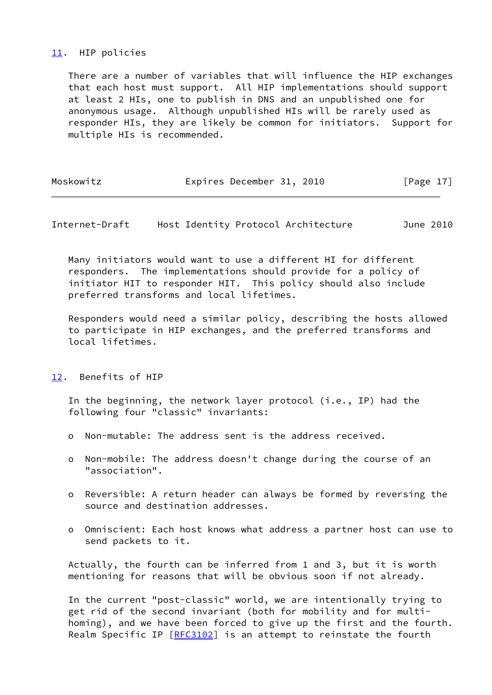## <span id="page-19-0"></span>[11.](#page-19-0) HIP policies

 There are a number of variables that will influence the HIP exchanges that each host must support. All HIP implementations should support at least 2 HIs, one to publish in DNS and an unpublished one for anonymous usage. Although unpublished HIs will be rarely used as responder HIs, they are likely be common for initiators. Support for multiple HIs is recommended.

| Moskowitz |  | Expires December 31, 2010 |  |  | [Page 17] |  |
|-----------|--|---------------------------|--|--|-----------|--|
|-----------|--|---------------------------|--|--|-----------|--|

<span id="page-19-2"></span>Internet-Draft Host Identity Protocol Architecture June 2010

 Many initiators would want to use a different HI for different responders. The implementations should provide for a policy of initiator HIT to responder HIT. This policy should also include preferred transforms and local lifetimes.

 Responders would need a similar policy, describing the hosts allowed to participate in HIP exchanges, and the preferred transforms and local lifetimes.

<span id="page-19-1"></span>[12.](#page-19-1) Benefits of HIP

 In the beginning, the network layer protocol (i.e., IP) had the following four "classic" invariants:

- o Non-mutable: The address sent is the address received.
- o Non-mobile: The address doesn't change during the course of an "association".
- o Reversible: A return header can always be formed by reversing the source and destination addresses.
- o Omniscient: Each host knows what address a partner host can use to send packets to it.

 Actually, the fourth can be inferred from 1 and 3, but it is worth mentioning for reasons that will be obvious soon if not already.

 In the current "post-classic" world, we are intentionally trying to get rid of the second invariant (both for mobility and for multi homing), and we have been forced to give up the first and the fourth. Realm Specific IP [[RFC3102](https://datatracker.ietf.org/doc/pdf/rfc3102)] is an attempt to reinstate the fourth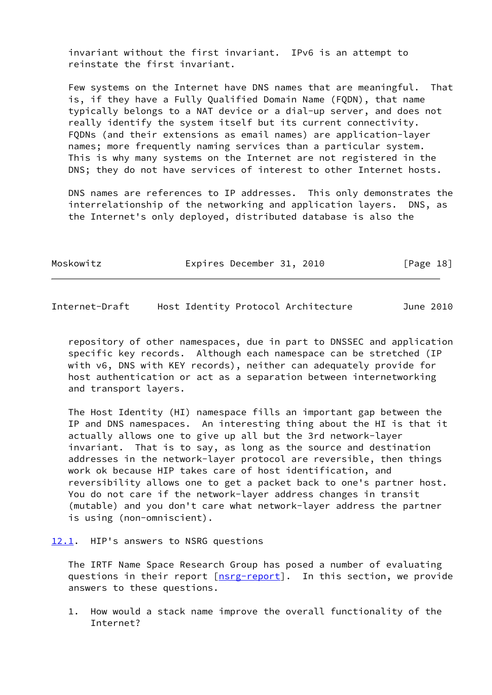invariant without the first invariant. IPv6 is an attempt to reinstate the first invariant.

 Few systems on the Internet have DNS names that are meaningful. That is, if they have a Fully Qualified Domain Name (FQDN), that name typically belongs to a NAT device or a dial-up server, and does not really identify the system itself but its current connectivity. FQDNs (and their extensions as email names) are application-layer names; more frequently naming services than a particular system. This is why many systems on the Internet are not registered in the DNS; they do not have services of interest to other Internet hosts.

 DNS names are references to IP addresses. This only demonstrates the interrelationship of the networking and application layers. DNS, as the Internet's only deployed, distributed database is also the

| Moskowitz |  | Expires December 31, 2010 |  |  | [Page 18] |  |  |
|-----------|--|---------------------------|--|--|-----------|--|--|
|-----------|--|---------------------------|--|--|-----------|--|--|

<span id="page-20-1"></span>Internet-Draft Host Identity Protocol Architecture June 2010

 repository of other namespaces, due in part to DNSSEC and application specific key records. Although each namespace can be stretched (IP with v6, DNS with KEY records), neither can adequately provide for host authentication or act as a separation between internetworking and transport layers.

 The Host Identity (HI) namespace fills an important gap between the IP and DNS namespaces. An interesting thing about the HI is that it actually allows one to give up all but the 3rd network-layer invariant. That is to say, as long as the source and destination addresses in the network-layer protocol are reversible, then things work ok because HIP takes care of host identification, and reversibility allows one to get a packet back to one's partner host. You do not care if the network-layer address changes in transit (mutable) and you don't care what network-layer address the partner is using (non-omniscient).

<span id="page-20-0"></span>[12.1](#page-20-0). HIP's answers to NSRG questions

 The IRTF Name Space Research Group has posed a number of evaluating questions in their report [[nsrg-report](#page-28-1)]. In this section, we provide answers to these questions.

 1. How would a stack name improve the overall functionality of the Internet?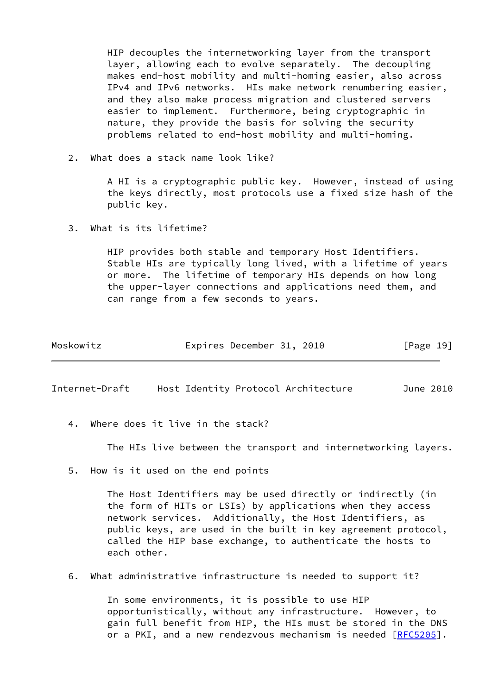HIP decouples the internetworking layer from the transport layer, allowing each to evolve separately. The decoupling makes end-host mobility and multi-homing easier, also across IPv4 and IPv6 networks. HIs make network renumbering easier, and they also make process migration and clustered servers easier to implement. Furthermore, being cryptographic in nature, they provide the basis for solving the security problems related to end-host mobility and multi-homing.

2. What does a stack name look like?

 A HI is a cryptographic public key. However, instead of using the keys directly, most protocols use a fixed size hash of the public key.

3. What is its lifetime?

 HIP provides both stable and temporary Host Identifiers. Stable HIs are typically long lived, with a lifetime of years or more. The lifetime of temporary HIs depends on how long the upper-layer connections and applications need them, and can range from a few seconds to years.

| Moskowitz | Expires December 31, 2010 |  | [Page 19] |
|-----------|---------------------------|--|-----------|
|-----------|---------------------------|--|-----------|

Internet-Draft Host Identity Protocol Architecture June 2010

4. Where does it live in the stack?

The HIs live between the transport and internetworking layers.

5. How is it used on the end points

 The Host Identifiers may be used directly or indirectly (in the form of HITs or LSIs) by applications when they access network services. Additionally, the Host Identifiers, as public keys, are used in the built in key agreement protocol, called the HIP base exchange, to authenticate the hosts to each other.

6. What administrative infrastructure is needed to support it?

 In some environments, it is possible to use HIP opportunistically, without any infrastructure. However, to gain full benefit from HIP, the HIs must be stored in the DNS or a PKI, and a new rendezvous mechanism is needed [[RFC5205](https://datatracker.ietf.org/doc/pdf/rfc5205)].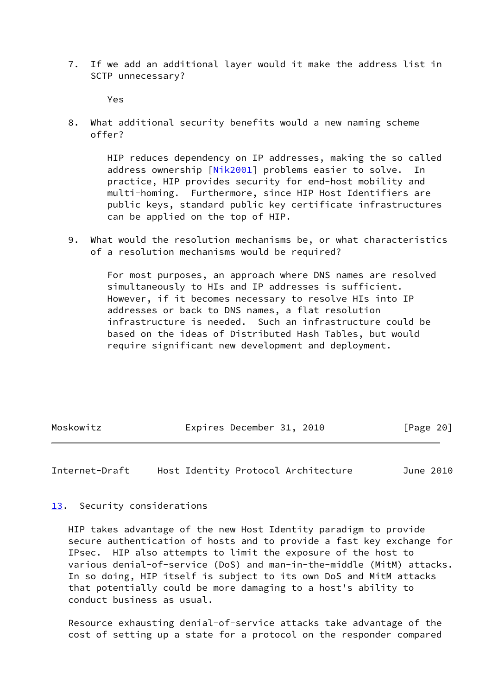7. If we add an additional layer would it make the address list in SCTP unnecessary?

Yes

 8. What additional security benefits would a new naming scheme offer?

> HIP reduces dependency on IP addresses, making the so called address ownership [\[Nik2001](#page-28-5)] problems easier to solve. In practice, HIP provides security for end-host mobility and multi-homing. Furthermore, since HIP Host Identifiers are public keys, standard public key certificate infrastructures can be applied on the top of HIP.

 9. What would the resolution mechanisms be, or what characteristics of a resolution mechanisms would be required?

> For most purposes, an approach where DNS names are resolved simultaneously to HIs and IP addresses is sufficient. However, if it becomes necessary to resolve HIs into IP addresses or back to DNS names, a flat resolution infrastructure is needed. Such an infrastructure could be based on the ideas of Distributed Hash Tables, but would require significant new development and deployment.

Moskowitz **Expires December 31, 2010** [Page 20]

<span id="page-22-1"></span>Internet-Draft Host Identity Protocol Architecture June 2010

<span id="page-22-0"></span>[13.](#page-22-0) Security considerations

 HIP takes advantage of the new Host Identity paradigm to provide secure authentication of hosts and to provide a fast key exchange for IPsec. HIP also attempts to limit the exposure of the host to various denial-of-service (DoS) and man-in-the-middle (MitM) attacks. In so doing, HIP itself is subject to its own DoS and MitM attacks that potentially could be more damaging to a host's ability to conduct business as usual.

 Resource exhausting denial-of-service attacks take advantage of the cost of setting up a state for a protocol on the responder compared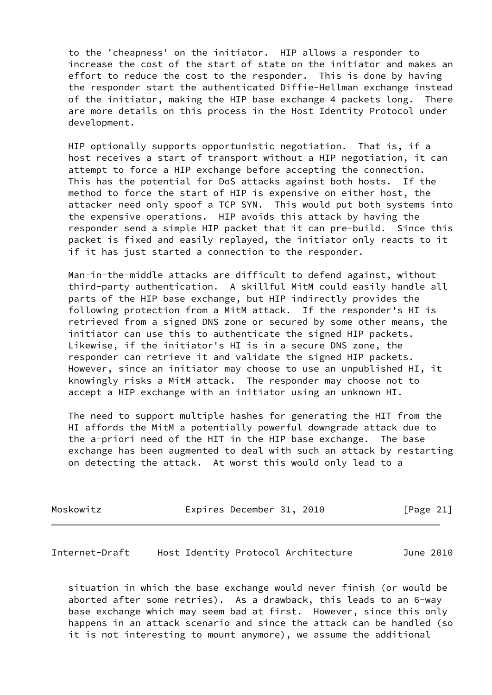to the 'cheapness' on the initiator. HIP allows a responder to increase the cost of the start of state on the initiator and makes an effort to reduce the cost to the responder. This is done by having the responder start the authenticated Diffie-Hellman exchange instead of the initiator, making the HIP base exchange 4 packets long. There are more details on this process in the Host Identity Protocol under development.

 HIP optionally supports opportunistic negotiation. That is, if a host receives a start of transport without a HIP negotiation, it can attempt to force a HIP exchange before accepting the connection. This has the potential for DoS attacks against both hosts. If the method to force the start of HIP is expensive on either host, the attacker need only spoof a TCP SYN. This would put both systems into the expensive operations. HIP avoids this attack by having the responder send a simple HIP packet that it can pre-build. Since this packet is fixed and easily replayed, the initiator only reacts to it if it has just started a connection to the responder.

 Man-in-the-middle attacks are difficult to defend against, without third-party authentication. A skillful MitM could easily handle all parts of the HIP base exchange, but HIP indirectly provides the following protection from a MitM attack. If the responder's HI is retrieved from a signed DNS zone or secured by some other means, the initiator can use this to authenticate the signed HIP packets. Likewise, if the initiator's HI is in a secure DNS zone, the responder can retrieve it and validate the signed HIP packets. However, since an initiator may choose to use an unpublished HI, it knowingly risks a MitM attack. The responder may choose not to accept a HIP exchange with an initiator using an unknown HI.

 The need to support multiple hashes for generating the HIT from the HI affords the MitM a potentially powerful downgrade attack due to the a-priori need of the HIT in the HIP base exchange. The base exchange has been augmented to deal with such an attack by restarting on detecting the attack. At worst this would only lead to a

| Moskowitz | Expires December 31, 2010 | [Page 21] |
|-----------|---------------------------|-----------|
|-----------|---------------------------|-----------|

<span id="page-23-0"></span>Internet-Draft Host Identity Protocol Architecture June 2010

 situation in which the base exchange would never finish (or would be aborted after some retries). As a drawback, this leads to an 6-way base exchange which may seem bad at first. However, since this only happens in an attack scenario and since the attack can be handled (so it is not interesting to mount anymore), we assume the additional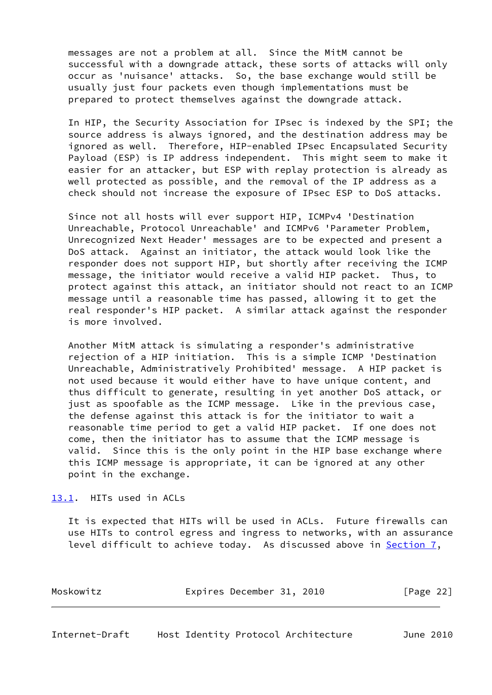messages are not a problem at all. Since the MitM cannot be successful with a downgrade attack, these sorts of attacks will only occur as 'nuisance' attacks. So, the base exchange would still be usually just four packets even though implementations must be prepared to protect themselves against the downgrade attack.

 In HIP, the Security Association for IPsec is indexed by the SPI; the source address is always ignored, and the destination address may be ignored as well. Therefore, HIP-enabled IPsec Encapsulated Security Payload (ESP) is IP address independent. This might seem to make it easier for an attacker, but ESP with replay protection is already as well protected as possible, and the removal of the IP address as a check should not increase the exposure of IPsec ESP to DoS attacks.

 Since not all hosts will ever support HIP, ICMPv4 'Destination Unreachable, Protocol Unreachable' and ICMPv6 'Parameter Problem, Unrecognized Next Header' messages are to be expected and present a DoS attack. Against an initiator, the attack would look like the responder does not support HIP, but shortly after receiving the ICMP message, the initiator would receive a valid HIP packet. Thus, to protect against this attack, an initiator should not react to an ICMP message until a reasonable time has passed, allowing it to get the real responder's HIP packet. A similar attack against the responder is more involved.

 Another MitM attack is simulating a responder's administrative rejection of a HIP initiation. This is a simple ICMP 'Destination Unreachable, Administratively Prohibited' message. A HIP packet is not used because it would either have to have unique content, and thus difficult to generate, resulting in yet another DoS attack, or just as spoofable as the ICMP message. Like in the previous case, the defense against this attack is for the initiator to wait a reasonable time period to get a valid HIP packet. If one does not come, then the initiator has to assume that the ICMP message is valid. Since this is the only point in the HIP base exchange where this ICMP message is appropriate, it can be ignored at any other point in the exchange.

<span id="page-24-0"></span>[13.1](#page-24-0). HITs used in ACLs

 It is expected that HITs will be used in ACLs. Future firewalls can use HITs to control egress and ingress to networks, with an assurance level difficult to achieve today. As discussed above in [Section 7](#page-16-0),

<span id="page-24-1"></span>

| Moskowitz | Expires December 31, 2010 |  | [Page 22] |  |
|-----------|---------------------------|--|-----------|--|
|           |                           |  |           |  |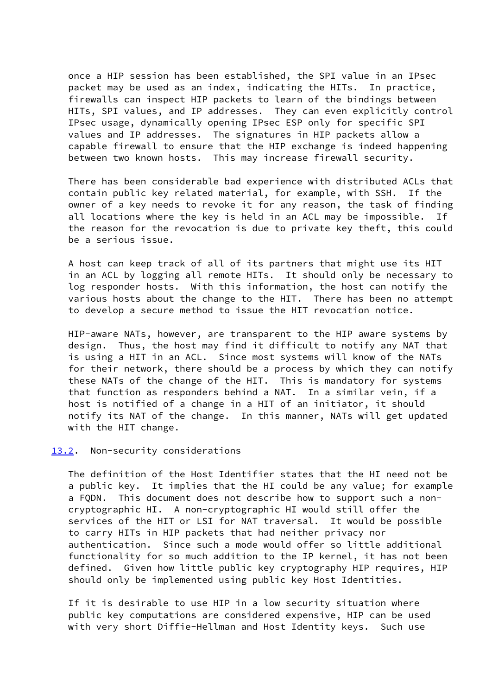once a HIP session has been established, the SPI value in an IPsec packet may be used as an index, indicating the HITs. In practice, firewalls can inspect HIP packets to learn of the bindings between HITs, SPI values, and IP addresses. They can even explicitly control IPsec usage, dynamically opening IPsec ESP only for specific SPI values and IP addresses. The signatures in HIP packets allow a capable firewall to ensure that the HIP exchange is indeed happening between two known hosts. This may increase firewall security.

 There has been considerable bad experience with distributed ACLs that contain public key related material, for example, with SSH. If the owner of a key needs to revoke it for any reason, the task of finding all locations where the key is held in an ACL may be impossible. If the reason for the revocation is due to private key theft, this could be a serious issue.

 A host can keep track of all of its partners that might use its HIT in an ACL by logging all remote HITs. It should only be necessary to log responder hosts. With this information, the host can notify the various hosts about the change to the HIT. There has been no attempt to develop a secure method to issue the HIT revocation notice.

 HIP-aware NATs, however, are transparent to the HIP aware systems by design. Thus, the host may find it difficult to notify any NAT that is using a HIT in an ACL. Since most systems will know of the NATs for their network, there should be a process by which they can notify these NATs of the change of the HIT. This is mandatory for systems that function as responders behind a NAT. In a similar vein, if a host is notified of a change in a HIT of an initiator, it should notify its NAT of the change. In this manner, NATs will get updated with the HIT change.

### <span id="page-25-0"></span>[13.2](#page-25-0). Non-security considerations

 The definition of the Host Identifier states that the HI need not be a public key. It implies that the HI could be any value; for example a FQDN. This document does not describe how to support such a non cryptographic HI. A non-cryptographic HI would still offer the services of the HIT or LSI for NAT traversal. It would be possible to carry HITs in HIP packets that had neither privacy nor authentication. Since such a mode would offer so little additional functionality for so much addition to the IP kernel, it has not been defined. Given how little public key cryptography HIP requires, HIP should only be implemented using public key Host Identities.

 If it is desirable to use HIP in a low security situation where public key computations are considered expensive, HIP can be used with very short Diffie-Hellman and Host Identity keys. Such use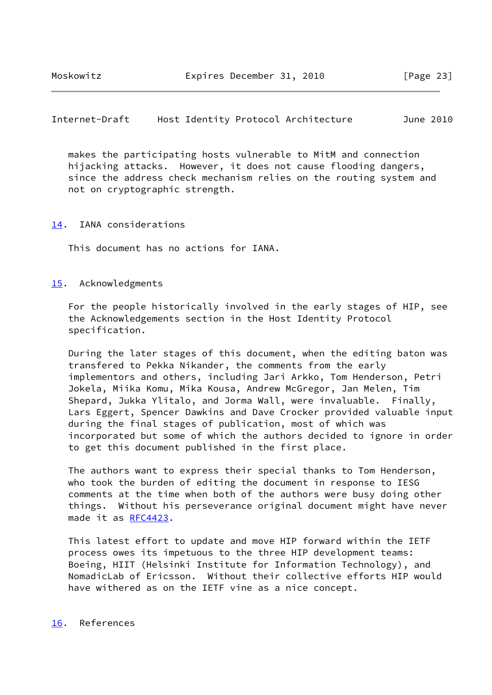<span id="page-26-1"></span>Internet-Draft Host Identity Protocol Architecture June 2010

 makes the participating hosts vulnerable to MitM and connection hijacking attacks. However, it does not cause flooding dangers, since the address check mechanism relies on the routing system and not on cryptographic strength.

#### <span id="page-26-0"></span>[14.](#page-26-0) IANA considerations

This document has no actions for IANA.

# <span id="page-26-2"></span>[15.](#page-26-2) Acknowledgments

 For the people historically involved in the early stages of HIP, see the Acknowledgements section in the Host Identity Protocol specification.

 During the later stages of this document, when the editing baton was transfered to Pekka Nikander, the comments from the early implementors and others, including Jari Arkko, Tom Henderson, Petri Jokela, Miika Komu, Mika Kousa, Andrew McGregor, Jan Melen, Tim Shepard, Jukka Ylitalo, and Jorma Wall, were invaluable. Finally, Lars Eggert, Spencer Dawkins and Dave Crocker provided valuable input during the final stages of publication, most of which was incorporated but some of which the authors decided to ignore in order to get this document published in the first place.

 The authors want to express their special thanks to Tom Henderson, who took the burden of editing the document in response to IESG comments at the time when both of the authors were busy doing other things. Without his perseverance original document might have never made it as [RFC4423](https://datatracker.ietf.org/doc/pdf/rfc4423).

 This latest effort to update and move HIP forward within the IETF process owes its impetuous to the three HIP development teams: Boeing, HIIT (Helsinki Institute for Information Technology), and NomadicLab of Ericsson. Without their collective efforts HIP would have withered as on the IETF vine as a nice concept.

<span id="page-26-3"></span>[16.](#page-26-3) References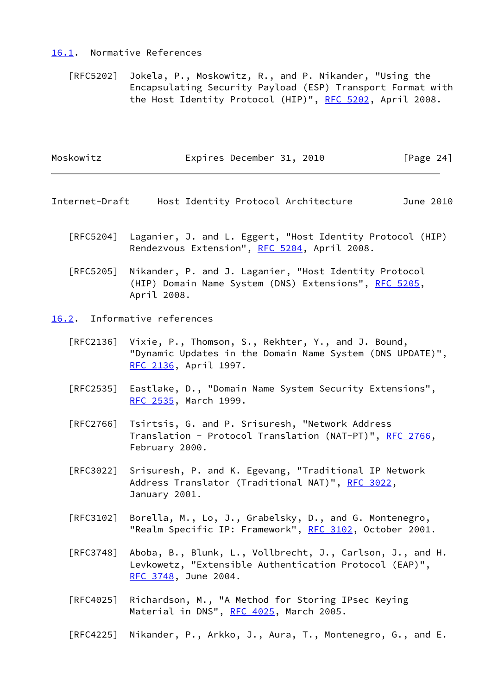#### <span id="page-27-0"></span>[16.1](#page-27-0). Normative References

 [RFC5202] Jokela, P., Moskowitz, R., and P. Nikander, "Using the Encapsulating Security Payload (ESP) Transport Format with the Host Identity Protocol (HIP)", [RFC 5202](https://datatracker.ietf.org/doc/pdf/rfc5202), April 2008.

| Moskowitz | Expires December 31, 2010 |  | [Page 24] |
|-----------|---------------------------|--|-----------|
|           |                           |  |           |

- <span id="page-27-2"></span>Internet-Draft Host Identity Protocol Architecture June 2010
	- [RFC5204] Laganier, J. and L. Eggert, "Host Identity Protocol (HIP) Rendezvous Extension", [RFC 5204](https://datatracker.ietf.org/doc/pdf/rfc5204), April 2008.

 [RFC5205] Nikander, P. and J. Laganier, "Host Identity Protocol (HIP) Domain Name System (DNS) Extensions", [RFC 5205,](https://datatracker.ietf.org/doc/pdf/rfc5205) April 2008.

<span id="page-27-1"></span>[16.2](#page-27-1). Informative references

- [RFC2136] Vixie, P., Thomson, S., Rekhter, Y., and J. Bound, "Dynamic Updates in the Domain Name System (DNS UPDATE)", [RFC 2136,](https://datatracker.ietf.org/doc/pdf/rfc2136) April 1997.
- [RFC2535] Eastlake, D., "Domain Name System Security Extensions", [RFC 2535,](https://datatracker.ietf.org/doc/pdf/rfc2535) March 1999.
- [RFC2766] Tsirtsis, G. and P. Srisuresh, "Network Address Translation - Protocol Translation (NAT-PT)", [RFC 2766](https://datatracker.ietf.org/doc/pdf/rfc2766), February 2000.
- [RFC3022] Srisuresh, P. and K. Egevang, "Traditional IP Network Address Translator (Traditional NAT)", [RFC 3022](https://datatracker.ietf.org/doc/pdf/rfc3022), January 2001.
- [RFC3102] Borella, M., Lo, J., Grabelsky, D., and G. Montenegro, "Realm Specific IP: Framework", [RFC 3102,](https://datatracker.ietf.org/doc/pdf/rfc3102) October 2001.
- [RFC3748] Aboba, B., Blunk, L., Vollbrecht, J., Carlson, J., and H. Levkowetz, "Extensible Authentication Protocol (EAP)", [RFC 3748,](https://datatracker.ietf.org/doc/pdf/rfc3748) June 2004.
- [RFC4025] Richardson, M., "A Method for Storing IPsec Keying Material in DNS", [RFC 4025](https://datatracker.ietf.org/doc/pdf/rfc4025), March 2005.
- [RFC4225] Nikander, P., Arkko, J., Aura, T., Montenegro, G., and E.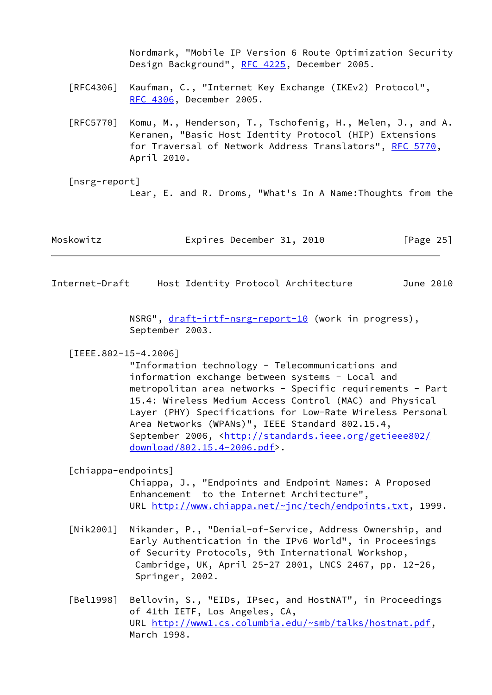Nordmark, "Mobile IP Version 6 Route Optimization Security Design Background", [RFC 4225,](https://datatracker.ietf.org/doc/pdf/rfc4225) December 2005.

- [RFC4306] Kaufman, C., "Internet Key Exchange (IKEv2) Protocol", [RFC 4306,](https://datatracker.ietf.org/doc/pdf/rfc4306) December 2005.
- [RFC5770] Komu, M., Henderson, T., Tschofenig, H., Melen, J., and A. Keranen, "Basic Host Identity Protocol (HIP) Extensions for Traversal of Network Address Translators", [RFC 5770](https://datatracker.ietf.org/doc/pdf/rfc5770), April 2010.
- <span id="page-28-1"></span> [nsrg-report] Lear, E. and R. Droms, "What's In A Name:Thoughts from the

| Moskowitz | Expires December 31, 2010 | [Page 25] |
|-----------|---------------------------|-----------|
|-----------|---------------------------|-----------|

<span id="page-28-0"></span>Internet-Draft Host Identity Protocol Architecture June 2010

NSRG", [draft-irtf-nsrg-report-10](https://datatracker.ietf.org/doc/pdf/draft-irtf-nsrg-report-10) (work in progress), September 2003.

#### <span id="page-28-4"></span>[IEEE.802-15-4.2006]

 "Information technology - Telecommunications and information exchange between systems - Local and metropolitan area networks - Specific requirements - Part 15.4: Wireless Medium Access Control (MAC) and Physical Layer (PHY) Specifications for Low-Rate Wireless Personal Area Networks (WPANs)", IEEE Standard 802.15.4, September 2006, <[http://standards.ieee.org/getieee802/](http://standards.ieee.org/getieee802/download/802.15.4-2006.pdf) [download/802.15.4-2006.pdf>](http://standards.ieee.org/getieee802/download/802.15.4-2006.pdf).

### <span id="page-28-2"></span>[chiappa-endpoints]

 Chiappa, J., "Endpoints and Endpoint Names: A Proposed Enhancement to the Internet Architecture", URL <http://www.chiappa.net/~jnc/tech/endpoints.txt>, 1999.

- <span id="page-28-5"></span> [Nik2001] Nikander, P., "Denial-of-Service, Address Ownership, and Early Authentication in the IPv6 World", in Proceesings of Security Protocols, 9th International Workshop, Cambridge, UK, April 25-27 2001, LNCS 2467, pp. 12-26, Springer, 2002.
- <span id="page-28-3"></span> [Bel1998] Bellovin, S., "EIDs, IPsec, and HostNAT", in Proceedings of 41th IETF, Los Angeles, CA, URL [http://www1.cs.columbia.edu/~smb/talks/hostnat.pdf,](http://www1.cs.columbia.edu/~smb/talks/hostnat.pdf) March 1998.